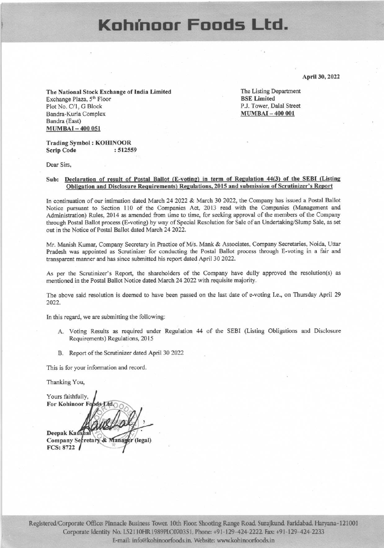## Kohínoor Foods Ltd.

April 30, 2022

The National Stock Exchange of India Limited Exchange Plaza, 5th Floor Plot No. C/1, G Block Bandra-Kurla Complex Bandra (East) **MUMBAI-400 051** 

The Listing Department **BSE** Limited P.J. Tower, Dalal Street **MUMBAI-400 001** 

#### **Trading Symbol: KOHINOOR Scrip Code** : 512559

Dear Sirs.

#### Sub: Declaration of result of Postal Ballot (E-voting) in term of Regulation 44(3) of the SEBI (Listing Obligation and Disclosure Requirements) Regulations, 2015 and submission of Scrutinizer's Report

In continuation of our intimation dated March 24 2022 & March 30 2022, the Company has issued a Postal Ballot Notice pursuant to Section 110 of the Companies Act, 2013 read with the Companies (Management and Administration) Rules, 2014 as amended from time to time, for seeking approval of the members of the Company through Postal Ballot process (E-voting) by way of Special Resolution for Sale of an Undertaking/Slump Sale, as set out in the Notice of Postal Ballot dated March 24 2022.

Mr. Manish Kumar, Company Secretary in Practice of M/s. Mank & Associates, Company Secretaries, Noida, Uttar Pradesh was appointed as Scrutinizer for conducting the Postal Ballot process through E-voting in a fair and transparent manner and has since submitted his report dated April 30 2022.

As per the Scrutinizer's Report, the shareholders of the Company have dully approved the resolution(s) as mentioned in the Postal Ballot Notice dated March 24 2022 with requisite majority.

The above said resolution is deemed to have been passed on the last date of e-voting I.e., on Thursday April 29 2022.

In this regard, we are submitting the following:

- A. Voting Results as required under Regulation 44 of the SEBI (Listing Obligations and Disclosure Requirements) Regulations, 2015
- B. Report of the Scrutinizer dated April 30 2022

This is for your information and record.

Thanking You,

Yours faithfully, For Kohinoor F Deepak Kausha Company Secretary er (legal) **FCS: 8722**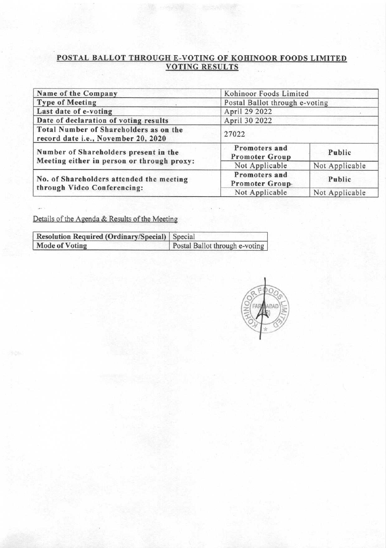# **POSTAL BALLOT THROUGH E-VOTING OF KOHINOOR FOODS LIMITED**<br>VOTING RESULTS

| Name of the Company                                                           | Kohinoor Foods Limited                 |                |  |  |  |
|-------------------------------------------------------------------------------|----------------------------------------|----------------|--|--|--|
| <b>Type of Meeting</b>                                                        | Postal Ballot through e-voting         |                |  |  |  |
| Last date of e-voting                                                         | April 29 2022                          |                |  |  |  |
| Date of declaration of voting results                                         | April 30 2022                          |                |  |  |  |
| Total Number of Shareholders as on the<br>record date i.e., November 20, 2020 | 27022                                  |                |  |  |  |
| Number of Shareholders present in the                                         | Promoters and<br><b>Promoter Group</b> | Public         |  |  |  |
| Meeting either in person or through proxy:                                    | Not Applicable                         | Not Applicable |  |  |  |
| No. of Shareholders attended the meeting                                      | Promoters and<br>Promoter Group-       | Public         |  |  |  |
| through Video Conferencing:                                                   | Not Applicable                         | Not Applicable |  |  |  |

Details of the Agenda & Results of the Meeting

| Resolution Required (Ordinary/Special)   Special |                                |  |  |  |  |
|--------------------------------------------------|--------------------------------|--|--|--|--|
| <b>Mode of Voting</b>                            | Postal Ballot through e-voting |  |  |  |  |

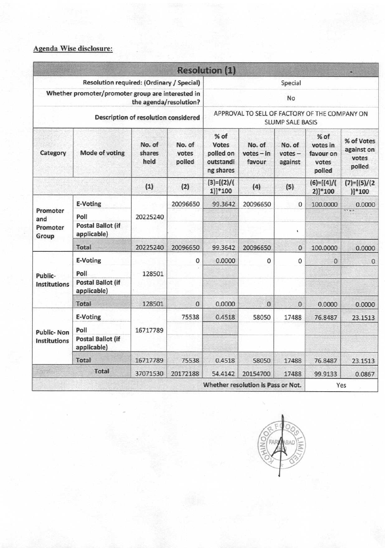### Agenda Wise disclosure:

|                                                                             |                                                             |                          |                                                                          | <b>Resolution (1)</b>                                |                                    |                                |                                                  |                                             |  |
|-----------------------------------------------------------------------------|-------------------------------------------------------------|--------------------------|--------------------------------------------------------------------------|------------------------------------------------------|------------------------------------|--------------------------------|--------------------------------------------------|---------------------------------------------|--|
| Resolution required: (Ordinary / Special)                                   |                                                             |                          |                                                                          | Special                                              |                                    |                                |                                                  |                                             |  |
| Whether promoter/promoter group are interested in<br>the agenda/resolution? |                                                             |                          | No                                                                       |                                                      |                                    |                                |                                                  |                                             |  |
| Description of resolution considered                                        |                                                             |                          | APPROVAL TO SELL OF FACTORY OF THE COMPANY ON<br><b>SLUMP SALE BASIS</b> |                                                      |                                    |                                |                                                  |                                             |  |
| Category                                                                    | Mode of voting                                              | No. of<br>shares<br>held | No. of<br>votes<br>polled                                                | % of<br>Votes<br>polled on<br>outstandi<br>ng shares | No. of<br>$votes - in$<br>favour   | No. of<br>$votes -$<br>against | % of<br>votes in<br>favour on<br>votes<br>polled | % of Votes<br>against on<br>votes<br>polled |  |
|                                                                             |                                                             | (1)                      | (2)                                                                      | $(3)=[(2)/($<br>$1$ ]]*100                           | (4)                                | (5)                            | $(6)=[(4)/($<br>$2)]*100$                        | $(7)=[(5)/(2)$<br>$)]*100$                  |  |
|                                                                             | E-Voting                                                    |                          | 20096650                                                                 | 99.3642                                              | 20096650                           | $\mathbf{0}$                   | 100.0000                                         | 0.0000                                      |  |
| Promoter<br>and<br>Promoter<br>Group                                        | Poll<br><b>Postal Ballot (if</b><br>applicable)             | 20225240                 |                                                                          |                                                      |                                    | ï                              |                                                  | 17.41                                       |  |
|                                                                             | Total                                                       | 20225240                 | 20096650                                                                 | 99.3642                                              | 20096650                           | $\mathbf 0$                    | 100.0000                                         | 0.0000                                      |  |
| Public-<br><b>Institutions</b>                                              | E-Voting<br>Poll<br><b>Postal Ballot (if</b><br>applicable) | 128501                   | 0                                                                        | 0.0000                                               | 0                                  | $\mathbf 0$                    | $\circ$                                          | $\mathbf{0}$                                |  |
|                                                                             | <b>Total</b>                                                | 128501                   | 0                                                                        | 0.0000                                               | $\mathbf{0}$                       | $\mathbf{0}$                   | 0.0000                                           | 0.0000                                      |  |
| <b>Public-Non</b><br><b>Institutions</b>                                    | E-Voting<br>Poll<br><b>Postal Ballot (if</b>                | 16717789                 | 75538                                                                    | 0.4518                                               | 58050                              | 17488                          | 76.8487                                          | 23.1513                                     |  |
|                                                                             | applicable)                                                 |                          |                                                                          |                                                      |                                    |                                |                                                  |                                             |  |
|                                                                             | Total                                                       | 16717789                 | 75538                                                                    | 0.4518                                               | 58050                              | 17488                          | 76.8487                                          | 23.1513                                     |  |
| $\sim 10$                                                                   | <b>Total</b>                                                | 37071530                 | 20172188                                                                 | 54.4142                                              | 20154700                           | 17488                          | 99.9133                                          | 0.0867                                      |  |
|                                                                             |                                                             |                          |                                                                          |                                                      | Whether resolution is Pass or Not. |                                |                                                  | Yes                                         |  |

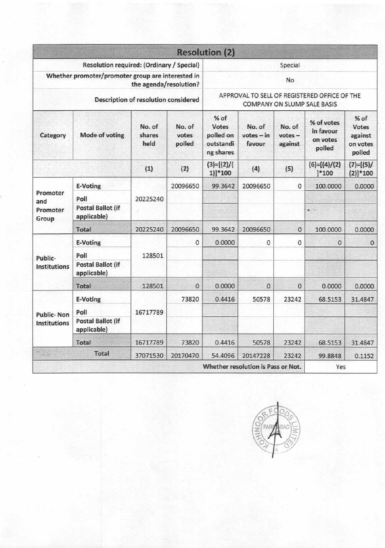|                                                                                                                            |                                                 |                          |                                                                                    | <b>Resolution (2)</b>                                       |                                    |                                |                                               |                                                         |  |
|----------------------------------------------------------------------------------------------------------------------------|-------------------------------------------------|--------------------------|------------------------------------------------------------------------------------|-------------------------------------------------------------|------------------------------------|--------------------------------|-----------------------------------------------|---------------------------------------------------------|--|
| Resolution required: (Ordinary / Special)                                                                                  |                                                 |                          |                                                                                    | Special                                                     |                                    |                                |                                               |                                                         |  |
| Whether promoter/promoter group are interested in<br>the agenda/resolution?<br><b>Description of resolution considered</b> |                                                 |                          |                                                                                    | No                                                          |                                    |                                |                                               |                                                         |  |
|                                                                                                                            |                                                 |                          | APPROVAL TO SELL OF REGISTERED OFFICE OF THE<br><b>COMPANY ON SLUMP SALE BASIS</b> |                                                             |                                    |                                |                                               |                                                         |  |
| Category                                                                                                                   | Mode of voting                                  | No. of<br>shares<br>held | No. of<br>votes<br>polled                                                          | % of<br><b>Votes</b><br>polled on<br>outstandi<br>ng shares | No. of<br>$votes - in$<br>favour   | No. of<br>$votes -$<br>against | % of votes<br>in favour<br>on votes<br>polled | $%$ of<br><b>Votes</b><br>against<br>on votes<br>polled |  |
|                                                                                                                            |                                                 | (1)                      | (2)                                                                                | $(3)=[(2)/($<br>$1)]*100$                                   | (4)                                | (5)                            | $(6)=[(4)/(2)$<br>] 100                       | $(7)=[(5)/$<br>$(2)]*100$                               |  |
|                                                                                                                            | E-Voting                                        |                          | 20096650                                                                           | 99.3642                                                     | 20096650                           | 0                              | 100.0000                                      | 0.0000                                                  |  |
| Promoter<br>and                                                                                                            | Poll                                            | 20225240                 |                                                                                    |                                                             |                                    |                                |                                               |                                                         |  |
| Promoter<br>Group                                                                                                          | <b>Postal Ballot (if</b><br>applicable)         |                          |                                                                                    |                                                             |                                    |                                | $8.12 -$                                      |                                                         |  |
|                                                                                                                            | <b>Total</b>                                    | 20225240                 | 20096650                                                                           | 99.3642                                                     | 20096650                           | 0                              | 100.0000                                      | 0.0000                                                  |  |
|                                                                                                                            | <b>E-Voting</b>                                 |                          | 0                                                                                  | 0.0000                                                      | 0                                  | 0                              | $\mathbf{0}$                                  | $\mathbf{0}$                                            |  |
| Public-<br><b>Institutions</b>                                                                                             | Poll<br><b>Postal Ballot (if</b><br>applicable) | 128501                   |                                                                                    |                                                             |                                    |                                |                                               |                                                         |  |
|                                                                                                                            | <b>Total</b>                                    | 128501                   | $\mathbf{0}$                                                                       | 0.0000                                                      | $\mathbf{0}$                       | 0                              | 0.0000                                        | 0.0000                                                  |  |
| <b>Public-Non</b><br><b>Institutions</b>                                                                                   | <b>E-Voting</b>                                 |                          | 73820                                                                              | 0.4416                                                      | 50578                              | 23242                          | 68.5153                                       | 31.4847                                                 |  |
|                                                                                                                            | Poll                                            | 16717789                 |                                                                                    |                                                             |                                    |                                |                                               |                                                         |  |
|                                                                                                                            | <b>Postal Ballot (if</b><br>applicable)         |                          |                                                                                    |                                                             |                                    |                                |                                               |                                                         |  |
|                                                                                                                            | <b>Total</b>                                    | 16717789                 | 73820                                                                              | 0.4416                                                      | 50578                              | 23242                          | 68.5153                                       | 31.4847                                                 |  |
| T>0                                                                                                                        | <b>Total</b>                                    | 37071530                 | 20170470                                                                           | 54.4096                                                     | 20147228                           | 23242                          | 99.8848                                       | 0.1152                                                  |  |
|                                                                                                                            |                                                 |                          |                                                                                    |                                                             | Whether resolution is Pass or Not. |                                | Yes                                           |                                                         |  |